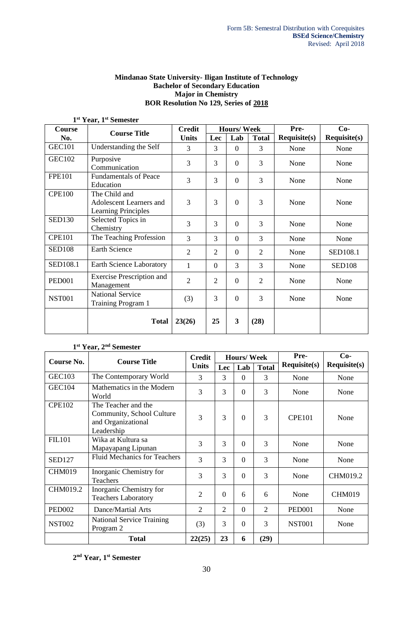## **Mindanao State University- Iligan Institute of Technology Bachelor of Secondary Education Major in Chemistry BOR Resolution No 129, Series of 2018**

| T.            | rear, r<br>Semester                                                    |                |                |                   |                |                        |                     |  |
|---------------|------------------------------------------------------------------------|----------------|----------------|-------------------|----------------|------------------------|---------------------|--|
| Course        | <b>Course Title</b>                                                    | <b>Credit</b>  |                | <b>Hours/Week</b> |                | Pre-                   | $Co-$               |  |
| No.           |                                                                        | <b>Units</b>   | Lec            | Lab               | <b>Total</b>   | $\textbf{Required}(s)$ | <b>Requisite(s)</b> |  |
| <b>GEC101</b> | Understanding the Self                                                 | 3              | 3              | $\overline{0}$    | 3              | None                   | None                |  |
| <b>GEC102</b> | Purposive<br>Communication                                             | 3              | 3              | $\overline{0}$    | 3              | None                   | None                |  |
| <b>FPE101</b> | <b>Fundamentals of Peace</b><br>Education                              | 3              | 3              | $\overline{0}$    | 3              | None                   | None                |  |
| <b>CPE100</b> | The Child and<br>Adolescent Learners and<br><b>Learning Principles</b> | 3              | 3              | $\overline{0}$    | 3              | None                   | None                |  |
| <b>SED130</b> | Selected Topics in<br>Chemistry                                        | 3              | 3              | $\theta$          | 3              | None                   | None                |  |
| <b>CPE101</b> | The Teaching Profession                                                | 3              | 3              | $\overline{0}$    | 3              | None                   | None                |  |
| <b>SED108</b> | <b>Earth Science</b>                                                   | $\overline{2}$ | $\overline{2}$ | $\overline{0}$    | $\overline{2}$ | None                   | <b>SED108.1</b>     |  |
| SED108.1      | Earth Science Laboratory                                               | 1              | $\overline{0}$ | 3                 | 3              | None                   | <b>SED108</b>       |  |
| <b>PED001</b> | <b>Exercise Prescription and</b><br>Management                         | $\overline{2}$ | $\overline{2}$ | $\overline{0}$    | $\overline{2}$ | None                   | None                |  |
| <b>NST001</b> | <b>National Service</b><br>Training Program 1                          | (3)            | 3              | $\theta$          | 3              | None                   | None                |  |
|               | <b>Total</b>                                                           | 23(26)         | 25             | 3                 | (28)           |                        |                     |  |

**1 st Year, 1st Semester** 

## **1 st Year, 2nd Semester**

|               | <b>Course Title</b><br>Course No.                                                    |                |                | <b>Hours/Week</b> |                | Pre-                | $Co-$               |
|---------------|--------------------------------------------------------------------------------------|----------------|----------------|-------------------|----------------|---------------------|---------------------|
|               |                                                                                      | <b>Units</b>   | Lec            | Lab               | <b>Total</b>   | <b>Requisite(s)</b> | <b>Requisite(s)</b> |
| <b>GEC103</b> | The Contemporary World                                                               | 3              | 3              | $\Omega$          | 3              | None                | None                |
| <b>GEC104</b> | Mathematics in the Modern<br>World                                                   | 3              | 3              | $\Omega$          | 3              | None                | None                |
| <b>CPE102</b> | The Teacher and the<br>Community, School Culture<br>and Organizational<br>Leadership | 3              | 3              | $\Omega$          | 3              | <b>CPE101</b>       | None                |
| <b>FIL101</b> | Wika at Kultura sa<br>Mapayapang Lipunan                                             | 3              | 3              | $\Omega$          | 3              | None                | None                |
| <b>SED127</b> | <b>Fluid Mechanics for Teachers</b>                                                  | 3              | 3              | $\Omega$          | 3              | None                | None                |
| <b>CHM019</b> | Inorganic Chemistry for<br><b>Teachers</b>                                           | 3              | 3              | $\Omega$          | 3              | None                | CHM019.2            |
| CHM019.2      | Inorganic Chemistry for<br><b>Teachers Laboratory</b>                                | $\overline{2}$ | $\theta$       | 6                 | 6              | None                | <b>CHM019</b>       |
| <b>PED002</b> | Dance/Martial Arts                                                                   | $\overline{2}$ | $\overline{2}$ | $\overline{0}$    | $\overline{2}$ | <b>PED001</b>       | None                |
| <b>NST002</b> | <b>National Service Training</b><br>Program 2                                        | (3)            | 3              | $\Omega$          | 3              | <b>NST001</b>       | None                |
|               | <b>Total</b>                                                                         | 22(25)         | 23             | 6                 | (29)           |                     |                     |

**2 nd Year, 1st Semester**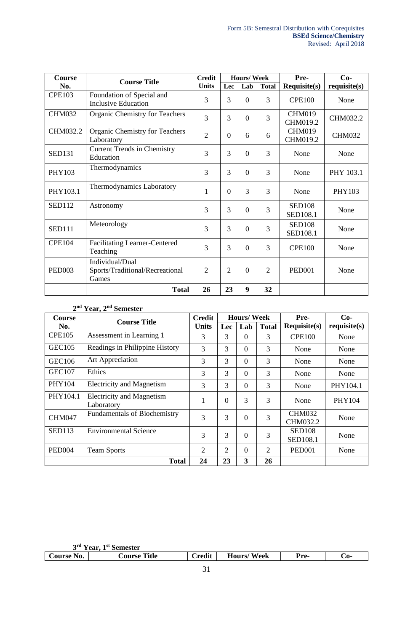| <b>Course</b> | <b>Course Title</b>                                         | <b>Credit</b>  |                | <b>Hours/Week</b> |                | Pre-                      | $Co-$         |
|---------------|-------------------------------------------------------------|----------------|----------------|-------------------|----------------|---------------------------|---------------|
| No.           |                                                             | <b>Units</b>   | Lec            | Lab               | <b>Total</b>   | <b>Requisite(s)</b>       | requires(s)   |
| <b>CPE103</b> | Foundation of Special and<br><b>Inclusive Education</b>     | 3              | 3              | $\Omega$          | 3              | <b>CPE100</b>             | None          |
| <b>CHM032</b> | Organic Chemistry for Teachers                              | 3              | 3              | $\Omega$          | 3              | <b>CHM019</b><br>CHM019.2 | CHM032.2      |
| CHM032.2      | <b>Organic Chemistry for Teachers</b><br>Laboratory         | $\overline{2}$ | $\Omega$       | 6                 | 6              | <b>CHM019</b><br>CHM019.2 | <b>CHM032</b> |
| <b>SED131</b> | <b>Current Trends in Chemistry</b><br>Education             | 3              | 3              | $\Omega$          | 3              | None                      | None          |
| PHY103        | Thermodynamics                                              | 3              | 3              | $\Omega$          | 3              | None                      | PHY 103.1     |
| PHY103.1      | <b>Thermodynamics Laboratory</b>                            | $\mathbf{1}$   | $\overline{0}$ | 3                 | 3              | None                      | PHY103        |
| <b>SED112</b> | Astronomy                                                   | 3              | 3              | $\Omega$          | 3              | <b>SED108</b><br>SED108.1 | None          |
| <b>SED111</b> | Meteorology                                                 | 3              | 3              | $\Omega$          | 3              | <b>SED108</b><br>SED108.1 | None          |
| <b>CPE104</b> | <b>Facilitating Learner-Centered</b><br>Teaching            | 3              | 3              | $\Omega$          | 3              | <b>CPE100</b>             | None          |
| <b>PED003</b> | Individual/Dual<br>Sports/Traditional/Recreational<br>Games | $\overline{2}$ | $\overline{2}$ | $\Omega$          | $\overline{2}$ | <b>PED001</b>             | None          |
|               | <b>Total</b>                                                | 26             | 23             | 9                 | 32             |                           |               |

### **2 nd Year, 2nd Semester**

| <b>Course</b>      | <b>Course Title</b>                            | <b>Credit</b> |          | <b>Hours/Week</b> |                | Pre-                             | $Co-$         |
|--------------------|------------------------------------------------|---------------|----------|-------------------|----------------|----------------------------------|---------------|
| No.                |                                                | <b>Units</b>  | Lec      | Lab               | <b>Total</b>   | <b>Requisite(s)</b>              | requires(s)   |
| <b>CPE105</b>      | Assessment in Learning 1                       | 3             | 3        | $\Omega$          | 3              | <b>CPE100</b>                    | None          |
| GEC <sub>105</sub> | Readings in Philippine History                 | 3             | 3        | $\Omega$          | 3              | None                             | None          |
| GEC <sub>106</sub> | Art Appreciation                               | 3             | 3        | $\theta$          | 3              | None                             | None          |
| <b>GEC107</b>      | Ethics                                         | 3             | 3        | $\theta$          | 3              | None                             | None          |
| <b>PHY104</b>      | <b>Electricity and Magnetism</b>               | 3             | 3        | $\Omega$          | 3              | None                             | PHY104.1      |
| PHY104.1           | <b>Electricity and Magnetism</b><br>Laboratory | 1             | $\theta$ | 3                 | 3              | None                             | <b>PHY104</b> |
| CHM047             | <b>Fundamentals of Biochemistry</b>            | 3             | 3        | $\overline{0}$    | 3              | <b>CHM032</b><br>CHM032.2        | None          |
| <b>SED113</b>      | <b>Environmental Science</b>                   | 3             | 3        | $\theta$          | 3              | <b>SED108</b><br><b>SED108.1</b> | None          |
| PED <sub>004</sub> | <b>Team Sports</b>                             | 2             | 2        | $\Omega$          | $\overline{2}$ | <b>PED001</b>                    | None          |
|                    | <b>Total</b>                                   | 24            | 23       | 3                 | 26             |                                  |               |

| 3 <sup>rd</sup> Year. | 1 <sup>st</sup> Semester |               |                   |                          |     |
|-----------------------|--------------------------|---------------|-------------------|--------------------------|-----|
| Course No.            | <b>Course Title</b>      | <b>Credit</b> | <b>Hours/Week</b> | $\mathbf{p}_{\text{re}}$ | -0ت |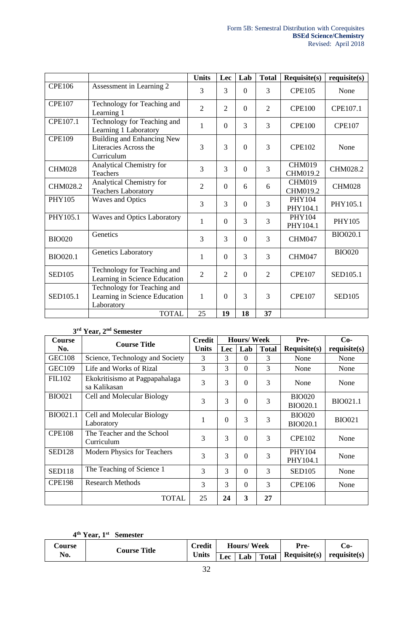|                 |                                                                            | <b>Units</b>   | Lec            | Lab            | <b>Total</b>   | Requisite(s)              | requisite(s)  |
|-----------------|----------------------------------------------------------------------------|----------------|----------------|----------------|----------------|---------------------------|---------------|
| <b>CPE106</b>   | Assessment in Learning 2                                                   | 3              | 3              | $\overline{0}$ | 3              | <b>CPE105</b>             | None          |
| <b>CPE107</b>   | Technology for Teaching and<br>Learning 1                                  | $\overline{2}$ | $\overline{2}$ | $\Omega$       | $\overline{2}$ | <b>CPE100</b>             | CPE107.1      |
| CPE107.1        | Technology for Teaching and<br>Learning 1 Laboratory                       | $\mathbf{1}$   | $\overline{0}$ | 3              | $\overline{3}$ | <b>CPE100</b>             | <b>CPE107</b> |
| <b>CPE109</b>   | <b>Building and Enhancing New</b><br>Literacies Across the<br>Curriculum   | 3              | 3              | $\Omega$       | 3              | <b>CPE102</b>             | None          |
| <b>CHM028</b>   | Analytical Chemistry for<br><b>Teachers</b>                                | 3              | 3              | $\Omega$       | 3              | <b>CHM019</b><br>CHM019.2 | CHM028.2      |
| CHM028.2        | Analytical Chemistry for<br><b>Teachers Laboratory</b>                     | $\overline{2}$ | $\Omega$       | 6              | 6              | <b>CHM019</b><br>CHM019.2 | <b>CHM028</b> |
| <b>PHY105</b>   | <b>Waves and Optics</b>                                                    | 3              | 3              | $\overline{0}$ | $\overline{3}$ | <b>PHY104</b><br>PHY104.1 | PHY105.1      |
| PHY105.1        | <b>Waves and Optics Laboratory</b>                                         | $\mathbf{1}$   | $\Omega$       | 3              | 3              | PHY104<br>PHY104.1        | <b>PHY105</b> |
| <b>BIO020</b>   | Genetics                                                                   | 3              | 3              | $\Omega$       | 3              | <b>CHM047</b>             | BIO020.1      |
| <b>BIO020.1</b> | Genetics Laboratory                                                        | $\mathbf{1}$   | $\Omega$       | 3              | 3              | <b>CHM047</b>             | <b>BIO020</b> |
| <b>SED105</b>   | Technology for Teaching and<br>Learning in Science Education               | $\overline{2}$ | $\overline{2}$ | $\overline{0}$ | $\overline{2}$ | <b>CPE107</b>             | SED105.1      |
| SED105.1        | Technology for Teaching and<br>Learning in Science Education<br>Laboratory | $\mathbf{1}$   | $\Omega$       | $\overline{3}$ | 3              | <b>CPE107</b>             | <b>SED105</b> |
|                 | <b>TOTAL</b>                                                               | 25             | 19             | 18             | 37             |                           |               |

#### **3 rd Year, 2nd Semester**

| Course        | <b>Course Title</b>                            | <b>Credit</b> |          | <b>Hours/Week</b> |                | Pre-                             | $Co-$           |
|---------------|------------------------------------------------|---------------|----------|-------------------|----------------|----------------------------------|-----------------|
| No.           |                                                | <b>Units</b>  | Lec      | Lab               | <b>Total</b>   | <b>Requisite(s)</b>              | requires(s)     |
| <b>GEC108</b> | Science, Technology and Society                | 3             | 3        | $\Omega$          | 3              | None                             | None            |
| <b>GEC109</b> | Life and Works of Rizal                        | 3             | 3        | $\Omega$          | $\overline{3}$ | None                             | None            |
| <b>FIL102</b> | Ekokritisismo at Pagpapahalaga<br>sa Kalikasan | 3             | 3        | $\theta$          | 3              | None                             | None            |
| <b>BIO021</b> | Cell and Molecular Biology                     | 3             | 3        | $\theta$          | 3              | <b>BIO020</b><br><b>BIO020.1</b> | <b>BIO021.1</b> |
| BIO021.1      | Cell and Molecular Biology<br>Laboratory       | $\mathbf{1}$  | $\Omega$ | 3                 | 3              | <b>BIO020</b><br><b>BIO020.1</b> | <b>BIO021</b>   |
| <b>CPE108</b> | The Teacher and the School<br>Curriculum       | 3             | 3        | $\theta$          | 3              | <b>CPE102</b>                    | None            |
| <b>SED128</b> | <b>Modern Physics for Teachers</b>             | 3             | 3        | $\Omega$          | 3              | PHY104<br>PHY104.1               | None            |
| <b>SED118</b> | The Teaching of Science 1                      | 3             | 3        | $\Omega$          | 3              | <b>SED105</b>                    | None            |
| <b>CPE198</b> | <b>Research Methods</b>                        | 3             | 3        | $\theta$          | 3              | <b>CPE106</b>                    | None            |
|               | <b>TOTAL</b>                                   | 25            | 24       | 3                 | 27             |                                  |                 |

#### **4 th Year, 1st Semester**

| <b>Course</b><br><b>Course Title</b> | Credit |              | <b>Hours/Week</b> |     | Pre-         | . ೧-                                         |  |
|--------------------------------------|--------|--------------|-------------------|-----|--------------|----------------------------------------------|--|
| No.                                  |        | <b>Units</b> | $\sim$<br>Lec-    | Lab | <b>Total</b> | $\text{Required}(s) \mid \text{required}(s)$ |  |